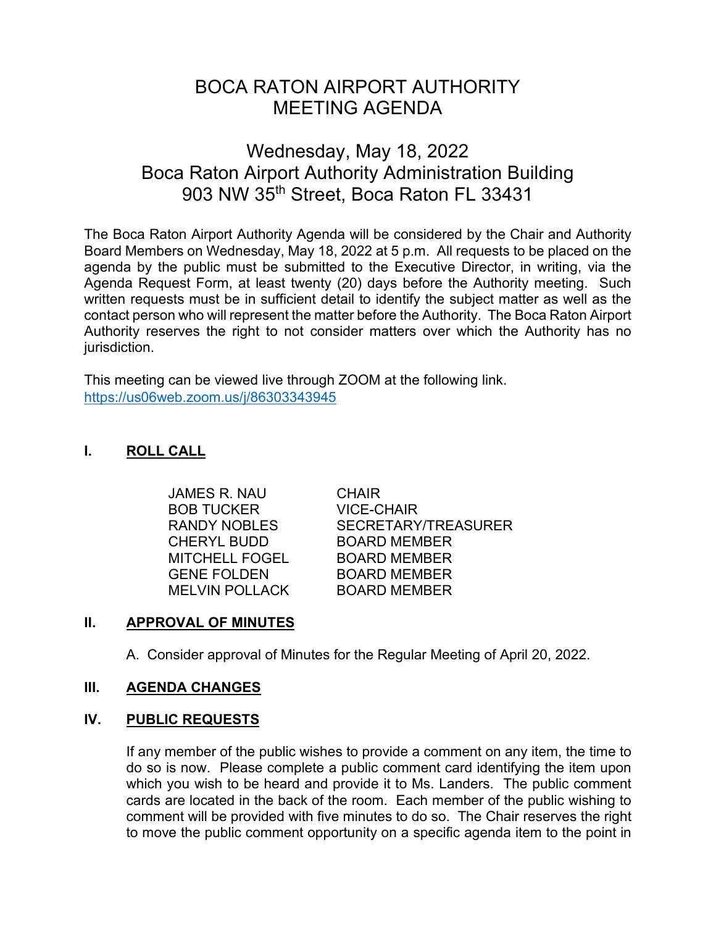# BOCA RATON AIRPORT AUTHORITY MEETING AGENDA

# Wednesday, May 18, 2022 Boca Raton Airport Authority Administration Building 903 NW 35th Street, Boca Raton FL 33431

The Boca Raton Airport Authority Agenda will be considered by the Chair and Authority Board Members on Wednesday, May 18, 2022 at 5 p.m. All requests to be placed on the agenda by the public must be submitted to the Executive Director, in writing, via the Agenda Request Form, at least twenty (20) days before the Authority meeting. Such written requests must be in sufficient detail to identify the subject matter as well as the contact person who will represent the matter before the Authority. The Boca Raton Airport Authority reserves the right to not consider matters over which the Authority has no jurisdiction.

This meeting can be viewed live through ZOOM at the following link. <https://us06web.zoom.us/j/86303343945>

# **I. ROLL CALL**

 JAMES R. NAU CHAIR BOB TUCKER VICE-CHAIR CHERYL BUDD BOARD MEMBER MITCHELL FOGEL BOARD MEMBER GENE FOLDEN BOARD MEMBER MELVIN POLLACK BOARD MEMBER

RANDY NOBLES SECRETARY/TREASURER

# **II. APPROVAL OF MINUTES**

A. Consider approval of Minutes for the Regular Meeting of April 20, 2022.

# **III. AGENDA CHANGES**

# **IV. PUBLIC REQUESTS**

If any member of the public wishes to provide a comment on any item, the time to do so is now. Please complete a public comment card identifying the item upon which you wish to be heard and provide it to Ms. Landers. The public comment cards are located in the back of the room. Each member of the public wishing to comment will be provided with five minutes to do so. The Chair reserves the right to move the public comment opportunity on a specific agenda item to the point in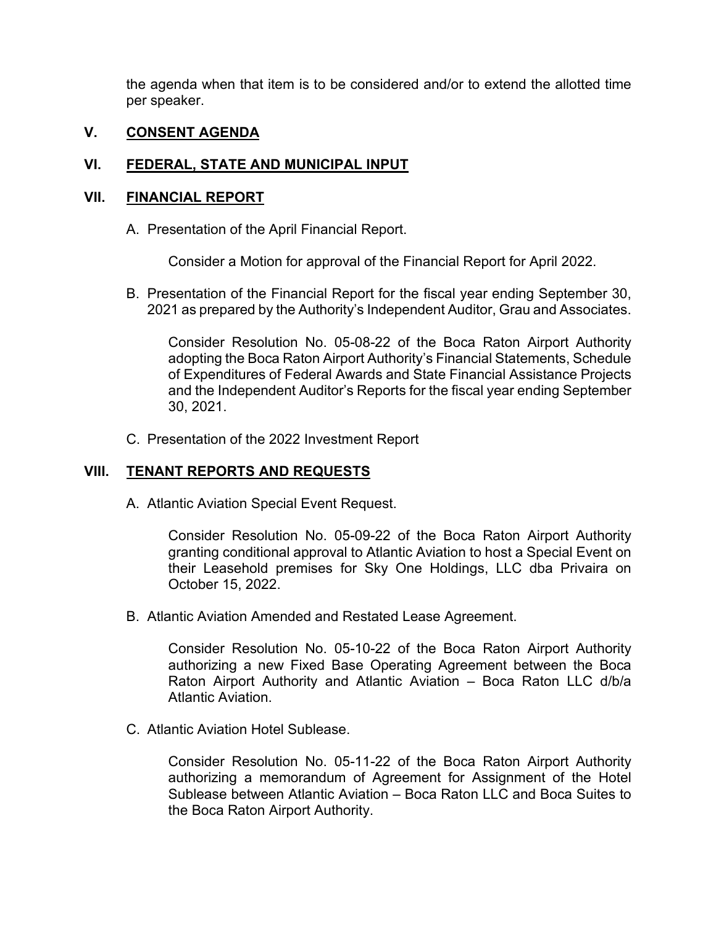the agenda when that item is to be considered and/or to extend the allotted time per speaker.

## **V. CONSENT AGENDA**

## **VI. FEDERAL, STATE AND MUNICIPAL INPUT**

#### **VII. FINANCIAL REPORT**

A. Presentation of the April Financial Report.

Consider a Motion for approval of the Financial Report for April 2022.

B. Presentation of the Financial Report for the fiscal year ending September 30, 2021 as prepared by the Authority's Independent Auditor, Grau and Associates.

Consider Resolution No. 05-08-22 of the Boca Raton Airport Authority adopting the Boca Raton Airport Authority's Financial Statements, Schedule of Expenditures of Federal Awards and State Financial Assistance Projects and the Independent Auditor's Reports for the fiscal year ending September 30, 2021.

C. Presentation of the 2022 Investment Report

## **VIII. TENANT REPORTS AND REQUESTS**

A. Atlantic Aviation Special Event Request.

Consider Resolution No. 05-09-22 of the Boca Raton Airport Authority granting conditional approval to Atlantic Aviation to host a Special Event on their Leasehold premises for Sky One Holdings, LLC dba Privaira on October 15, 2022.

B. Atlantic Aviation Amended and Restated Lease Agreement.

Consider Resolution No. 05-10-22 of the Boca Raton Airport Authority authorizing a new Fixed Base Operating Agreement between the Boca Raton Airport Authority and Atlantic Aviation – Boca Raton LLC d/b/a Atlantic Aviation.

C. Atlantic Aviation Hotel Sublease.

Consider Resolution No. 05-11-22 of the Boca Raton Airport Authority authorizing a memorandum of Agreement for Assignment of the Hotel Sublease between Atlantic Aviation – Boca Raton LLC and Boca Suites to the Boca Raton Airport Authority.